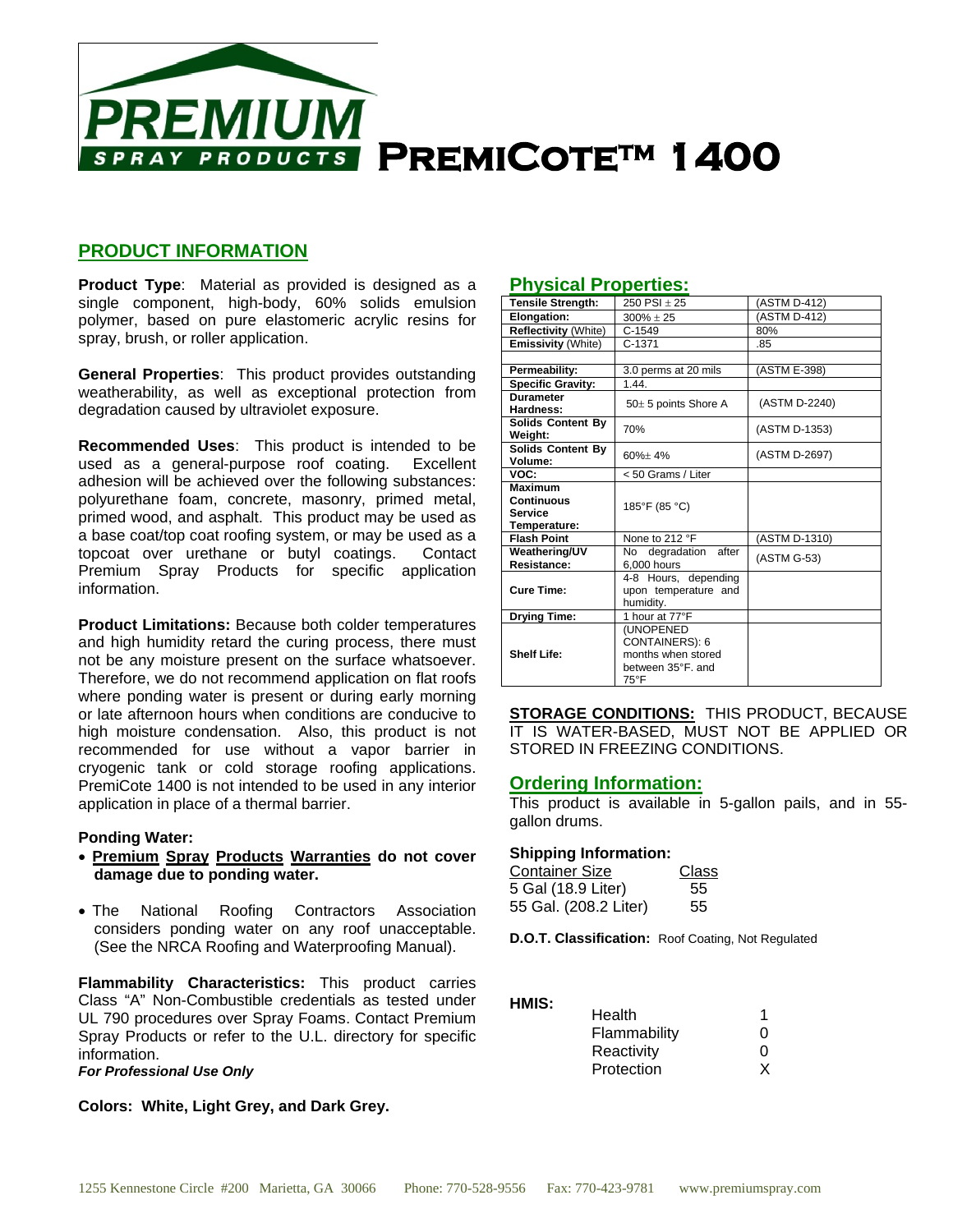

# **PRODUCT INFORMATION**

**Product Type**: Material as provided is designed as a single component, high-body, 60% solids emulsion polymer, based on pure elastomeric acrylic resins for spray, brush, or roller application.

**General Properties**: This product provides outstanding weatherability, as well as exceptional protection from degradation caused by ultraviolet exposure.

**Recommended Uses**: This product is intended to be used as a general-purpose roof coating. Excellent adhesion will be achieved over the following substances: polyurethane foam, concrete, masonry, primed metal, primed wood, and asphalt. This product may be used as a base coat/top coat roofing system, or may be used as a topcoat over urethane or butyl coatings. Contact Premium Spray Products for specific application information.

**Product Limitations:** Because both colder temperatures and high humidity retard the curing process, there must not be any moisture present on the surface whatsoever. Therefore, we do not recommend application on flat roofs where ponding water is present or during early morning or late afternoon hours when conditions are conducive to high moisture condensation. Also, this product is not recommended for use without a vapor barrier in cryogenic tank or cold storage roofing applications. PremiCote 1400 is not intended to be used in any interior application in place of a thermal barrier.

## **Ponding Water:**

- **Premium Spray Products Warranties do not cover damage due to ponding water.**
- The National Roofing Contractors Association considers ponding water on any roof unacceptable. (See the NRCA Roofing and Waterproofing Manual).

**Flammability Characteristics:** This product carries Class "A" Non-Combustible credentials as tested under UL 790 procedures over Spray Foams. Contact Premium Spray Products or refer to the U.L. directory for specific information.

*For Professional Use Only*

**Colors: White, Light Grey, and Dark Grey.**

## **Physical Properties:**

| <b>Tensile Strength:</b>            | 250 PSI $\pm$ 25                                                               | (ASTM D-412)  |
|-------------------------------------|--------------------------------------------------------------------------------|---------------|
| Elongation:                         | $300\% \pm 25$                                                                 | (ASTM D-412)  |
| <b>Reflectivity (White)</b>         | $C-1549$                                                                       | 80%           |
| <b>Emissivity (White)</b>           | C-1371                                                                         | .85           |
|                                     |                                                                                |               |
| Permeability:                       | 3.0 perms at 20 mils                                                           | (ASTM E-398)  |
| <b>Specific Gravity:</b>            | 1.44.                                                                          |               |
| <b>Durameter</b><br>Hardness:       | $50\pm 5$ points Shore A                                                       | (ASTM D-2240) |
| <b>Solids Content By</b><br>Weight: | 70%                                                                            | (ASTM D-1353) |
| <b>Solids Content By</b><br>Volume: | $60% + 4%$                                                                     | (ASTM D-2697) |
| VOC:                                | < 50 Grams / Liter                                                             |               |
| <b>Maximum</b>                      |                                                                                |               |
| <b>Continuous</b>                   | 185°F (85 °C)                                                                  |               |
| <b>Service</b>                      |                                                                                |               |
| Temperature:                        |                                                                                |               |
| <b>Flash Point</b>                  | None to 212 °F                                                                 | (ASTM D-1310) |
| Weathering/UV                       | degradation<br>after<br>No.                                                    | (ASTM G-53)   |
| Resistance:                         | 6,000 hours                                                                    |               |
| <b>Cure Time:</b>                   | 4-8 Hours, depending<br>upon temperature and<br>humidity.                      |               |
| <b>Drying Time:</b>                 | 1 hour at 77°F                                                                 |               |
| <b>Shelf Life:</b>                  | (UNOPENED<br>CONTAINERS): 6<br>months when stored<br>between 35°F, and<br>75°F |               |

**STORAGE CONDITIONS:** THIS PRODUCT, BECAUSE IT IS WATER-BASED, MUST NOT BE APPLIED OR STORED IN FREEZING CONDITIONS.

## **Ordering Information:**

This product is available in 5-gallon pails, and in 55 gallon drums.

#### **Shipping Information:**

| <b>Container Size</b> | Class |
|-----------------------|-------|
| 5 Gal (18.9 Liter)    | 55    |
| 55 Gal. (208.2 Liter) | 55    |

**D.O.T. Classification:** Roof Coating, Not Regulated

**HMIS:**

| Ω |
|---|
| O |
|   |
|   |